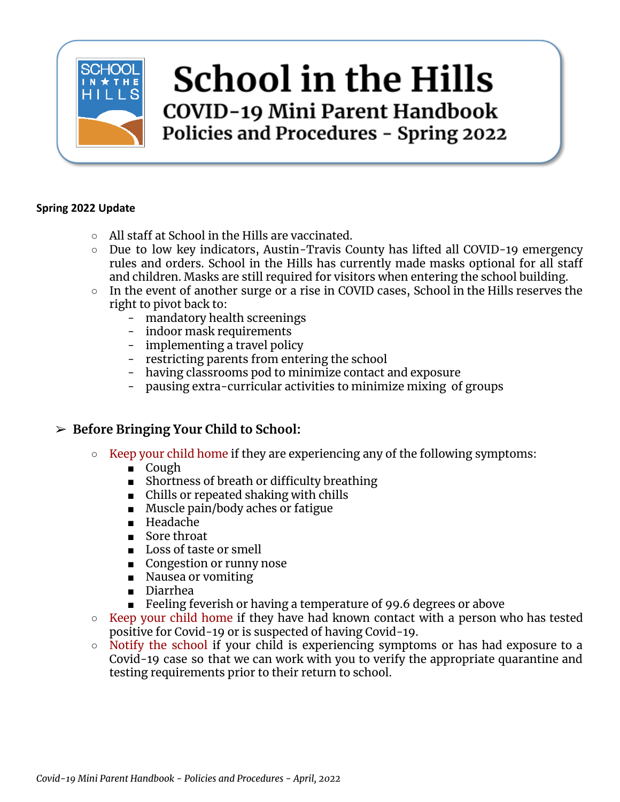

# **School in the Hills** COVID-19 Mini Parent Handbook Policies and Procedures - Spring 2022

#### **Spring 2022 Update**

- All staff at School in the Hills are vaccinated.
- Due to low key indicators, Austin-Travis County has lifted all COVID-19 emergency rules and orders. School in the Hills has currently made masks optional for all staff and children. Masks are still required for visitors when entering the school building.
- In the event of another surge or a rise in COVID cases, School in the Hills reserves the right to pivot back to:
	- mandatory health screenings
	- indoor mask requirements
	- implementing a travel policy
	- restricting parents from entering the school
	- having classrooms pod to minimize contact and exposure
	- pausing extra-curricular activities to minimize mixing of groups

#### ➢ **Before Bringing Your Child to School:**

- **○** Keep your child home if they are experiencing any of the following symptoms:
	- Cough
	- Shortness of breath or difficulty breathing
	- Chills or repeated shaking with chills
	- Muscle pain/body aches or fatigue
	- Headache
	- Sore throat
	- Loss of taste or smell
	- Congestion or runny nose
	- Nausea or vomiting
	- Diarrhea
	- Feeling feverish or having a temperature of 99.6 degrees or above
- Keep your child home if they have had known contact with a person who has tested positive for Covid-19 or is suspected of having Covid-19.
- Notify the school if your child is experiencing symptoms or has had exposure to a Covid-19 case so that we can work with you to verify the appropriate quarantine and testing requirements prior to their return to school.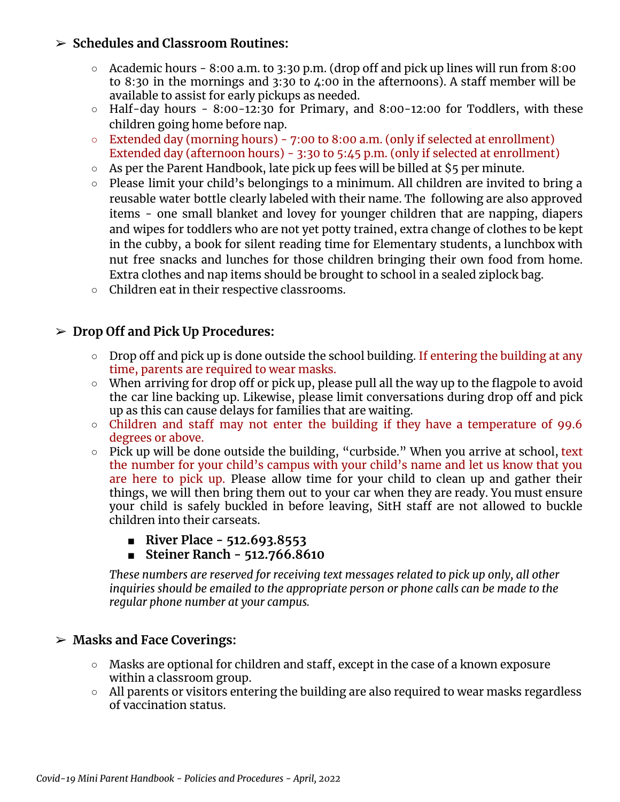#### ➢ **Schedules and Classroom Routines:**

- $\circ$  Academic hours 8:00 a.m. to 3:30 p.m. (drop off and pick up lines will run from 8:00 to 8:30 in the mornings and 3:30 to 4:00 in the afternoons). A staff member will be available to assist for early pickups as needed.
- $\circ$  Half-day hours 8:00-12:30 for Primary, and 8:00-12:00 for Toddlers, with these children going home before nap.
- Extended day (morning hours) 7:00 to 8:00 a.m. (only if selected at enrollment) Extended day (afternoon hours) - 3:30 to 5:45 p.m. (only if selected at enrollment)
- $\circ$  As per the Parent Handbook, late pick up fees will be billed at \$5 per minute.
- Please limit your child's belongings to a minimum. All children are invited to bring a reusable water bottle clearly labeled with their name. The following are also approved items - one small blanket and lovey for younger children that are napping, diapers and wipes for toddlers who are not yet potty trained, extra change of clothes to be kept in the cubby, a book for silent reading time for Elementary students, a lunchbox with nut free snacks and lunches for those children bringing their own food from home. Extra clothes and nap items should be brought to school in a sealed ziplock bag.
- Children eat in their respective classrooms.

### ➢ **Drop Off and Pick Up Procedures:**

- Drop off and pick up is done outside the school building. If entering the building at any time, parents are required to wear masks.
- When arriving for drop off or pick up, please pull all the way up to the flagpole to avoid the car line backing up. Likewise, please limit conversations during drop off and pick up as this can cause delays for families that are waiting.
- Children and staff may not enter the building if they have a temperature of 99.6 degrees or above.
- $\circ$  Pick up will be done outside the building, "curbside." When you arrive at school, text the number for your child's campus with your child's name and let us know that you are here to pick up. Please allow time for your child to clean up and gather their things, we will then bring them out to your car when they are ready. You must ensure your child is safely buckled in before leaving, SitH staff are not allowed to buckle children into their carseats.
	- **■ River Place - 512.693.8553**
	- **■ Steiner Ranch - 512.766.8610**

*These numbers are reserved for receiving text messages related to pick up only, all other inquiries should be emailed to the appropriate person or phone calls can be made to the regular phone number at your campus.*

#### ➢ **Masks and Face Coverings:**

- Masks are optional for children and staff, except in the case of a known exposure within a classroom group.
- All parents or visitors entering the building are also required to wear masks regardless of vaccination status.